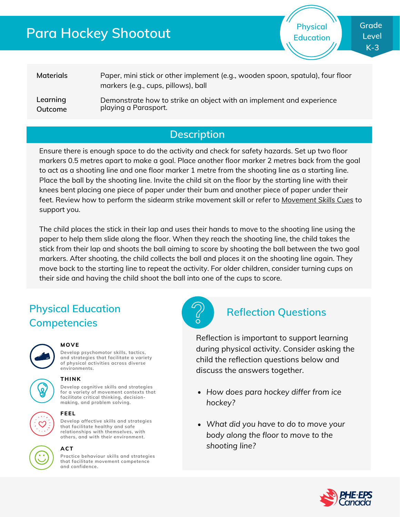# **Para Hockey Shootout**

**Physical Education**

**Materials Learning Outcome** Paper, mini stick or other implement (e.g., wooden spoon, spatula), four floor markers (e.g., cups, pillows), ball Demonstrate how to strike an object with an implement and experience playing a Parasport.

## **Description**

Ensure there is enough space to do the activity and check for safety hazards. Set up two floor markers 0.5 metres apart to make a goal. Place another floor marker 2 metres back from the goal to act as a shooting line and one floor marker 1 metre from the shooting line as a starting line. Place the ball by the shooting line. Invite the child sit on the floor by the starting line with their knees bent placing one piece of paper under their bum and another piece of paper under their feet. Review how to perform the sidearm strike movement skill or refer to *[Movement](https://phecanada.ca/sites/default/files/content/docs/Home%20Learning%20Resource/Movement%20Cues/Movement%20Skills%20Cues%201.pdf) Skills Cues* to support you.

The child places the stick in their lap and uses their hands to move to the shooting line using the paper to help them slide along the floor. When they reach the shooting line, the child takes the stick from their lap and shoots the ball aiming to score by shooting the ball between the two goal markers. After shooting, the child collects the ball and places it on the shooting line again. They move back to the starting line to repeat the activity. For older children, consider turning cups on their side and having the child shoot the ball into one of the cups to score.

# **Physical Education Competencies**



#### **MOVE**

**Develop psychomotor skills, tactics, and strategies that facilitate a variety of physical activities across diverse environments.**

## **THINK**

**Develop cognitive skills and strategies for a variety of movement contexts that facilitate critical thinking, decision making, and problem solving.**



### **FEEL**

**Develop affective skills and strategies that facilitate healthy and safe relationships with themselves, with others, and with their environment.**



### **ACT**

**Practice behaviour skills and strategies that facilitate movement competence and confidence.**



## **Reflection Questions**

Reflection is important to support learning during physical activity. Consider asking the child the reflection questions below and discuss the answers together.

- *How does para hockey differ from ice hockey?*
- *What did you have to do to move your body along the floor to move to the shooting line?*